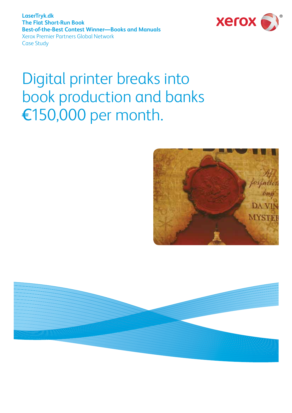**LaserTryk.dk The Flat Short-Run Book Best-of-the-Best Contest Winner—Books and Manuals** Xerox Premier Partners Global Network Case Study



# Digital printer breaks into book production and banks ¤150,000 per month.